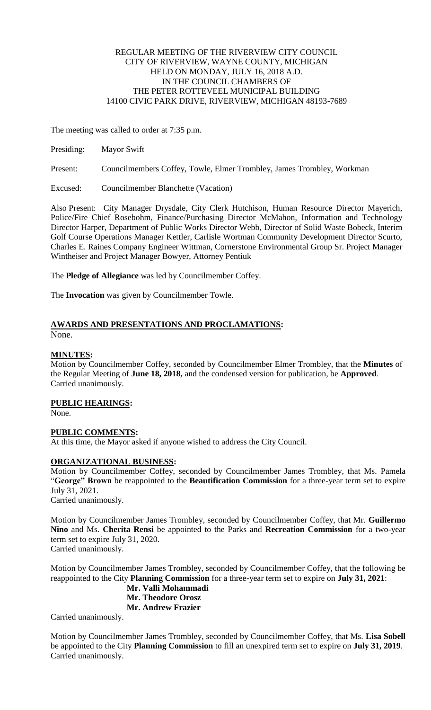#### REGULAR MEETING OF THE RIVERVIEW CITY COUNCIL CITY OF RIVERVIEW, WAYNE COUNTY, MICHIGAN HELD ON MONDAY, JULY 16, 2018 A.D. IN THE COUNCIL CHAMBERS OF THE PETER ROTTEVEEL MUNICIPAL BUILDING 14100 CIVIC PARK DRIVE, RIVERVIEW, MICHIGAN 48193-7689

The meeting was called to order at 7:35 p.m.

| Presiding: | <b>Mayor Swift</b> |  |
|------------|--------------------|--|
|------------|--------------------|--|

Present: Councilmembers Coffey, Towle, Elmer Trombley, James Trombley, Workman

Excused: Councilmember Blanchette (Vacation)

Also Present: City Manager Drysdale, City Clerk Hutchison, Human Resource Director Mayerich, Police/Fire Chief Rosebohm, Finance/Purchasing Director McMahon, Information and Technology Director Harper, Department of Public Works Director Webb, Director of Solid Waste Bobeck, Interim Golf Course Operations Manager Kettler, Carlisle Wortman Community Development Director Scurto, Charles E. Raines Company Engineer Wittman, Cornerstone Environmental Group Sr. Project Manager Wintheiser and Project Manager Bowyer, Attorney Pentiuk

The **Pledge of Allegiance** was led by Councilmember Coffey.

The **Invocation** was given by Councilmember Towle.

# **AWARDS AND PRESENTATIONS AND PROCLAMATIONS:**

None.

#### **MINUTES:**

Motion by Councilmember Coffey, seconded by Councilmember Elmer Trombley, that the **Minutes** of the Regular Meeting of **June 18, 2018,** and the condensed version for publication, be **Approved**. Carried unanimously.

## **PUBLIC HEARINGS:**

None.

## **PUBLIC COMMENTS:**

At this time, the Mayor asked if anyone wished to address the City Council.

## **ORGANIZATIONAL BUSINESS:**

Motion by Councilmember Coffey, seconded by Councilmember James Trombley, that Ms. Pamela "**George" Brown** be reappointed to the **Beautification Commission** for a three-year term set to expire July 31, 2021. Carried unanimously.

Motion by Councilmember James Trombley, seconded by Councilmember Coffey, that Mr. **Guillermo Nino** and Ms. **Cherita Rensi** be appointed to the Parks and **Recreation Commission** for a two-year term set to expire July 31, 2020.

Carried unanimously.

Motion by Councilmember James Trombley, seconded by Councilmember Coffey, that the following be reappointed to the City **Planning Commission** for a three-year term set to expire on **July 31, 2021**:

**Mr. Valli Mohammadi Mr. Theodore Orosz Mr. Andrew Frazier**

Carried unanimously.

Motion by Councilmember James Trombley, seconded by Councilmember Coffey, that Ms. **Lisa Sobell** be appointed to the City **Planning Commission** to fill an unexpired term set to expire on **July 31, 2019**. Carried unanimously.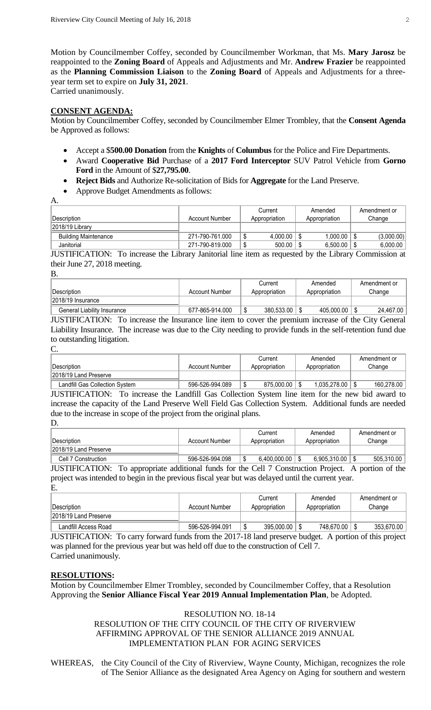Motion by Councilmember Coffey, seconded by Councilmember Workman, that Ms. **Mary Jarosz** be reappointed to the **Zoning Board** of Appeals and Adjustments and Mr. **Andrew Frazier** be reappointed as the **Planning Commission Liaison** to the **Zoning Board** of Appeals and Adjustments for a threeyear term set to expire on **July 31, 2021**. Carried unanimously.

# **CONSENT AGENDA:**

Motion by Councilmember Coffey, seconded by Councilmember Elmer Trombley, that the **Consent Agenda**  be Approved as follows:

- Accept a \$**500.00 Donation** from the **Knights** of **Columbus** for the Police and Fire Departments.
- Award **Cooperative Bid** Purchase of a **2017 Ford Interceptor** SUV Patrol Vehicle from **Gorno Ford** in the Amount of \$**27,795.00**.
- **Reject Bids** and Authorize Re-solicitation of Bids for **Aggregate** for the Land Preserve.
- Approve Budget Amendments as follows:
- A. Description **Account Number** Account Number **Current Appropriation** Amended Appropriation Amendment or Change 2018/19 Library Building Maintenance 271-790-761.000 \$ 4,000.00 \$ 1,000.00 \$ (3,000.00) Janitorial 271-790-819.000 \$ 500.00 \$ 6,500.00 \$ 6,000.00

JUSTIFICATION: To increase the Library Janitorial line item as requested by the Library Commission at their June 27, 2018 meeting.

| ٠       |  |
|---------|--|
|         |  |
| ٦<br>۰. |  |
|         |  |

|                             |                 | Current       | Amended       | Amendment or |
|-----------------------------|-----------------|---------------|---------------|--------------|
| Description                 | Account Number  | Appropriation | Appropriation | Change       |
| 2018/19 Insurance           |                 |               |               |              |
| General Liability Insurance | 677-865-914.000 | 380.533.00    | 405.000.00    | 24.467.00    |

JUSTIFICATION: To increase the Insurance line item to cover the premium increase of the City General Liability Insurance. The increase was due to the City needing to provide funds in the self-retention fund due to outstanding litigation.

C.

| <b>Description</b>                    | Account Number  | Current<br>Appropriation | Amended<br>Appropriation | Amendment or<br>Change |
|---------------------------------------|-----------------|--------------------------|--------------------------|------------------------|
| 2018/19 Land Preserve                 |                 |                          |                          |                        |
| <b>Landfill Gas Collection System</b> | 596-526-994.089 | 875,000,00               | 1.035.278.00             | 160.278.00             |

JUSTIFICATION: To increase the Landfill Gas Collection System line item for the new bid award to increase the capacity of the Land Preserve Well Field Gas Collection System. Additional funds are needed due to the increase in scope of the project from the original plans.

D.

| <b>Description</b>    | Account Number  | Current<br>Appropriation | Amended<br>Appropriation | Amendment or<br>Change |
|-----------------------|-----------------|--------------------------|--------------------------|------------------------|
| 2018/19 Land Preserve |                 |                          |                          |                        |
| Cell 7 Construction   | 596-526-994.098 | 6.400.000.00             | 6.905.310.00             | 505.310.00             |

JUSTIFICATION: To appropriate additional funds for the Cell 7 Construction Project. A portion of the project was intended to begin in the previous fiscal year but was delayed until the current year. E.

|                       |                 | Current       | Amended       | Amendment or |
|-----------------------|-----------------|---------------|---------------|--------------|
| ∣Description          | Account Number  | Appropriation | Appropriation | Change       |
| 2018/19 Land Preserve |                 |               |               |              |
| Landfill Access Road  | 596-526-994.091 | 395,000.00    | 748,670.00    | 353.670.00   |

JUSTIFICATION: To carry forward funds from the 2017-18 land preserve budget. A portion of this project was planned for the previous year but was held off due to the construction of Cell 7. Carried unanimously.

## **RESOLUTIONS:**

Motion by Councilmember Elmer Trombley, seconded by Councilmember Coffey, that a Resolution Approving the **Senior Alliance Fiscal Year 2019 Annual Implementation Plan**, be Adopted.

## RESOLUTION NO. 18-14

# RESOLUTION OF THE CITY COUNCIL OF THE CITY OF RIVERVIEW AFFIRMING APPROVAL OF THE SENIOR ALLIANCE 2019 ANNUAL IMPLEMENTATION PLAN FOR AGING SERVICES

WHEREAS, the City Council of the City of Riverview, Wayne County, Michigan, recognizes the role of The Senior Alliance as the designated Area Agency on Aging for southern and western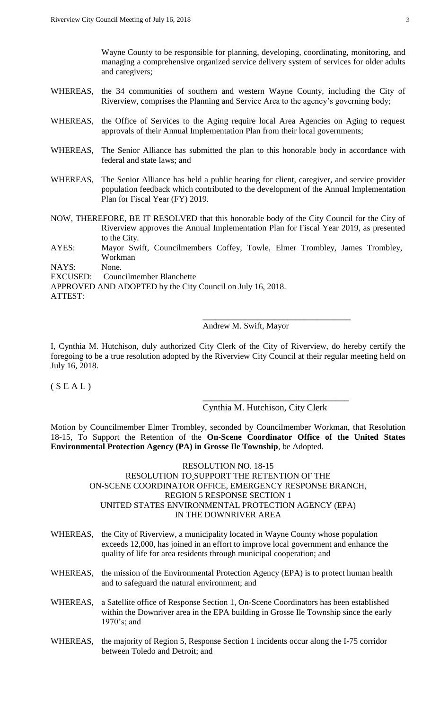Wayne County to be responsible for planning, developing, coordinating, monitoring, and managing a comprehensive organized service delivery system of services for older adults and caregivers;

- WHEREAS, the 34 communities of southern and western Wayne County, including the City of Riverview, comprises the Planning and Service Area to the agency's governing body;
- WHEREAS, the Office of Services to the Aging require local Area Agencies on Aging to request approvals of their Annual Implementation Plan from their local governments;
- WHEREAS, The Senior Alliance has submitted the plan to this honorable body in accordance with federal and state laws; and
- WHEREAS, The Senior Alliance has held a public hearing for client, caregiver, and service provider population feedback which contributed to the development of the Annual Implementation Plan for Fiscal Year (FY) 2019.
- NOW, THEREFORE, BE IT RESOLVED that this honorable body of the City Council for the City of Riverview approves the Annual Implementation Plan for Fiscal Year 2019, as presented to the City.
- AYES: Mayor Swift, Councilmembers Coffey, Towle, Elmer Trombley, James Trombley, Workman

NAYS: None.

EXCUSED: Councilmember Blanchette

APPROVED AND ADOPTED by the City Council on July 16, 2018.

# Andrew M. Swift, Mayor

I, Cynthia M. Hutchison, duly authorized City Clerk of the City of Riverview, do hereby certify the foregoing to be a true resolution adopted by the Riverview City Council at their regular meeting held on July 16, 2018.

 $(S E A L)$ 

# Cynthia M. Hutchison, City Clerk

\_\_\_\_\_\_\_\_\_\_\_\_\_\_\_\_\_\_\_\_\_\_\_\_\_\_\_\_\_\_\_\_

\_\_\_\_\_\_\_\_\_\_\_\_\_\_\_\_\_\_\_\_\_\_\_\_\_\_\_\_\_\_\_\_\_\_\_

Motion by Councilmember Elmer Trombley, seconded by Councilmember Workman, that Resolution 18-15, To Support the Retention of the **On-Scene Coordinator Office of the United States Environmental Protection Agency (PA) in Grosse Ile Township**, be Adopted.

#### RESOLUTION NO. 18-15 RESOLUTION TO SUPPORT THE RETENTION OF THE ON-SCENE COORDINATOR OFFICE, EMERGENCY RESPONSE BRANCH, REGION 5 RESPONSE SECTION 1 UNITED STATES ENVIRONMENTAL PROTECTION AGENCY (EPA) IN THE DOWNRIVER AREA

- WHEREAS, the City of Riverview, a municipality located in Wayne County whose population exceeds 12,000, has joined in an effort to improve local government and enhance the quality of life for area residents through municipal cooperation; and
- WHEREAS, the mission of the Environmental Protection Agency (EPA) is to protect human health and to safeguard the natural environment; and
- WHEREAS, a Satellite office of Response Section 1, On-Scene Coordinators has been established within the Downriver area in the EPA building in Grosse Ile Township since the early 1970's; and
- WHEREAS, the majority of Region 5, Response Section 1 incidents occur along the I-75 corridor between Toledo and Detroit; and

ATTEST: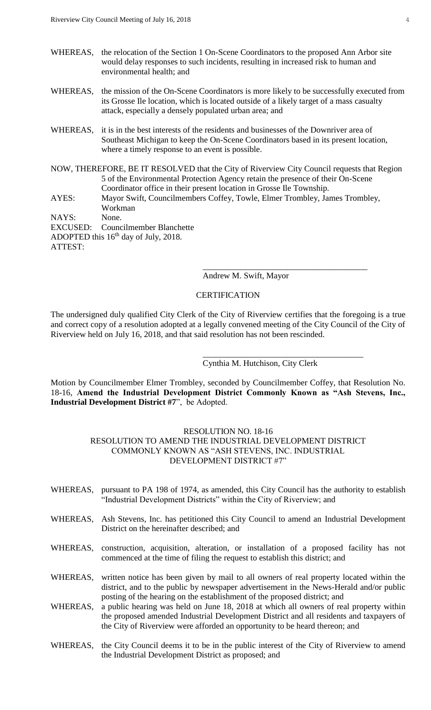- WHEREAS, the relocation of the Section 1 On-Scene Coordinators to the proposed Ann Arbor site would delay responses to such incidents, resulting in increased risk to human and environmental health; and
- WHEREAS, the mission of the On-Scene Coordinators is more likely to be successfully executed from its Grosse Ile location, which is located outside of a likely target of a mass casualty attack, especially a densely populated urban area; and
- WHEREAS, it is in the best interests of the residents and businesses of the Downriver area of Southeast Michigan to keep the On-Scene Coordinators based in its present location, where a timely response to an event is possible.
- NOW, THEREFORE, BE IT RESOLVED that the City of Riverview City Council requests that Region 5 of the Environmental Protection Agency retain the presence of their On-Scene Coordinator office in their present location in Grosse Ile Township.
- AYES: Mayor Swift, Councilmembers Coffey, Towle, Elmer Trombley, James Trombley, Workman

NAYS: None.

EXCUSED: Councilmember Blanchette ADOPTED this  $16<sup>th</sup>$  day of July, 2018. ATTEST:

#### Andrew M. Swift, Mayor

\_\_\_\_\_\_\_\_\_\_\_\_\_\_\_\_\_\_\_\_\_\_\_\_\_\_\_\_\_\_\_\_\_\_\_\_\_\_\_

\_\_\_\_\_\_\_\_\_\_\_\_\_\_\_\_\_\_\_\_\_\_\_\_\_\_\_\_\_\_\_\_\_\_\_\_\_\_

#### **CERTIFICATION**

The undersigned duly qualified City Clerk of the City of Riverview certifies that the foregoing is a true and correct copy of a resolution adopted at a legally convened meeting of the City Council of the City of Riverview held on July 16, 2018, and that said resolution has not been rescinded.

Cynthia M. Hutchison, City Clerk

Motion by Councilmember Elmer Trombley, seconded by Councilmember Coffey, that Resolution No. 18-16, **Amend the Industrial Development District Commonly Known as "Ash Stevens, Inc., Industrial Development District #7**", be Adopted.

#### RESOLUTION NO. 18-16

# RESOLUTION TO AMEND THE INDUSTRIAL DEVELOPMENT DISTRICT COMMONLY KNOWN AS "ASH STEVENS, INC. INDUSTRIAL DEVELOPMENT DISTRICT #7"

- WHEREAS, pursuant to PA 198 of 1974, as amended, this City Council has the authority to establish "Industrial Development Districts" within the City of Riverview; and
- WHEREAS, Ash Stevens, Inc. has petitioned this City Council to amend an Industrial Development District on the hereinafter described; and
- WHEREAS, construction, acquisition, alteration, or installation of a proposed facility has not commenced at the time of filing the request to establish this district; and
- WHEREAS, written notice has been given by mail to all owners of real property located within the district, and to the public by newspaper advertisement in the News-Herald and/or public posting of the hearing on the establishment of the proposed district; and
- WHEREAS, a public hearing was held on June 18, 2018 at which all owners of real property within the proposed amended Industrial Development District and all residents and taxpayers of the City of Riverview were afforded an opportunity to be heard thereon; and
- WHEREAS, the City Council deems it to be in the public interest of the City of Riverview to amend the Industrial Development District as proposed; and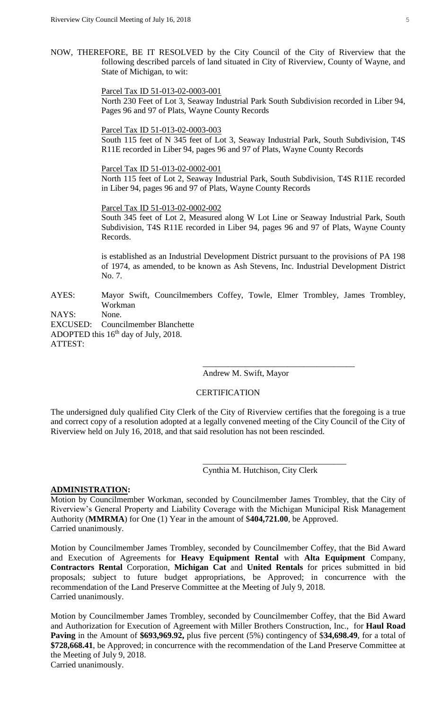NOW, THEREFORE, BE IT RESOLVED by the City Council of the City of Riverview that the following described parcels of land situated in City of Riverview, County of Wayne, and State of Michigan, to wit:

> Parcel Tax ID 51-013-02-0003-001 North 230 Feet of Lot 3, Seaway Industrial Park South Subdivision recorded in Liber 94, Pages 96 and 97 of Plats, Wayne County Records

Parcel Tax ID 51-013-02-0003-003

South 115 feet of N 345 feet of Lot 3, Seaway Industrial Park, South Subdivision, T4S R11E recorded in Liber 94, pages 96 and 97 of Plats, Wayne County Records

Parcel Tax ID 51-013-02-0002-001

North 115 feet of Lot 2, Seaway Industrial Park, South Subdivision, T4S R11E recorded in Liber 94, pages 96 and 97 of Plats, Wayne County Records

Parcel Tax ID 51-013-02-0002-002 South 345 feet of Lot 2, Measured along W Lot Line or Seaway Industrial Park, South Subdivision, T4S R11E recorded in Liber 94, pages 96 and 97 of Plats, Wayne County Records.

is established as an Industrial Development District pursuant to the provisions of PA 198 of 1974, as amended, to be known as Ash Stevens, Inc. Industrial Development District No. 7.

AYES: Mayor Swift, Councilmembers Coffey, Towle, Elmer Trombley, James Trombley, Workman

NAYS: None.

EXCUSED: Councilmember Blanchette ADOPTED this  $16<sup>th</sup>$  day of July, 2018. ATTEST:

Andrew M. Swift, Mayor

\_\_\_\_\_\_\_\_\_\_\_\_\_\_\_\_\_\_\_\_\_\_\_\_\_\_\_\_\_\_\_\_\_\_\_\_

## **CERTIFICATION**

The undersigned duly qualified City Clerk of the City of Riverview certifies that the foregoing is a true and correct copy of a resolution adopted at a legally convened meeting of the City Council of the City of Riverview held on July 16, 2018, and that said resolution has not been rescinded.

Cynthia M. Hutchison, City Clerk

\_\_\_\_\_\_\_\_\_\_\_\_\_\_\_\_\_\_\_\_\_\_\_\_\_\_\_\_\_\_\_\_\_\_

#### **ADMINISTRATION:**

Motion by Councilmember Workman, seconded by Councilmember James Trombley, that the City of Riverview's General Property and Liability Coverage with the Michigan Municipal Risk Management Authority (**MMRMA**) for One (1) Year in the amount of \$**404,721.00**, be Approved. Carried unanimously.

Motion by Councilmember James Trombley, seconded by Councilmember Coffey, that the Bid Award and Execution of Agreements for **Heavy Equipment Rental** with **Alta Equipment** Company, **Contractors Rental** Corporation, **Michigan Cat** and **United Rentals** for prices submitted in bid proposals; subject to future budget appropriations, be Approved; in concurrence with the recommendation of the Land Preserve Committee at the Meeting of July 9, 2018. Carried unanimously.

Motion by Councilmember James Trombley, seconded by Councilmember Coffey, that the Bid Award and Authorization for Execution of Agreement with Miller Brothers Construction, Inc., for **Haul Road Paving** in the Amount of **\$693,969.92,** plus five percent (5%) contingency of \$**34,698.49**, for a total of **\$728,668.41**, be Approved; in concurrence with the recommendation of the Land Preserve Committee at the Meeting of July 9, 2018. Carried unanimously.